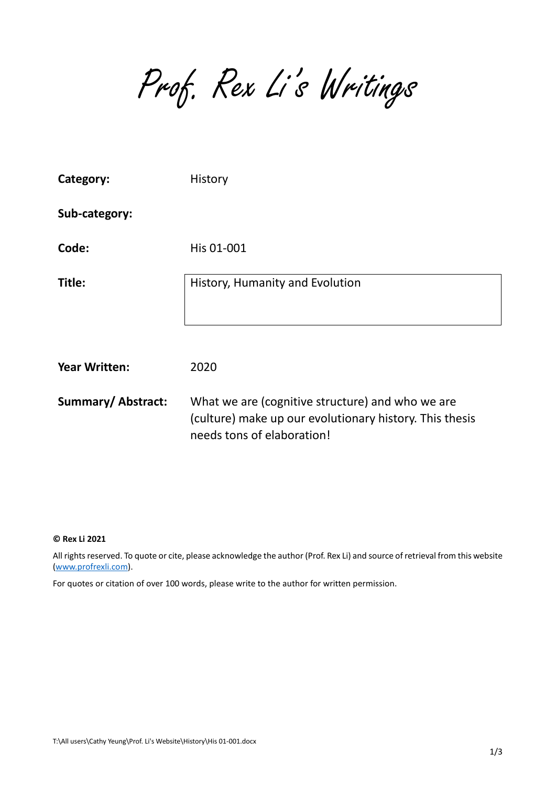Prof. Rex Li's Writings

| Category:            | History                                                                                                                                   |
|----------------------|-------------------------------------------------------------------------------------------------------------------------------------------|
| Sub-category:        |                                                                                                                                           |
| Code:                | His 01-001                                                                                                                                |
| Title:               | History, Humanity and Evolution                                                                                                           |
| <b>Year Written:</b> | 2020                                                                                                                                      |
| Summary/Abstract:    | What we are (cognitive structure) and who we are<br>(culture) make up our evolutionary history. This thesis<br>needs tons of elaboration! |

#### **© Rex Li 2021**

All rights reserved. To quote or cite, please acknowledge the author (Prof. Rex Li) and source of retrieval from this website [\(www.profrexli.com\)](http://www.profrexli.com/).

For quotes or citation of over 100 words, please write to the author for written permission.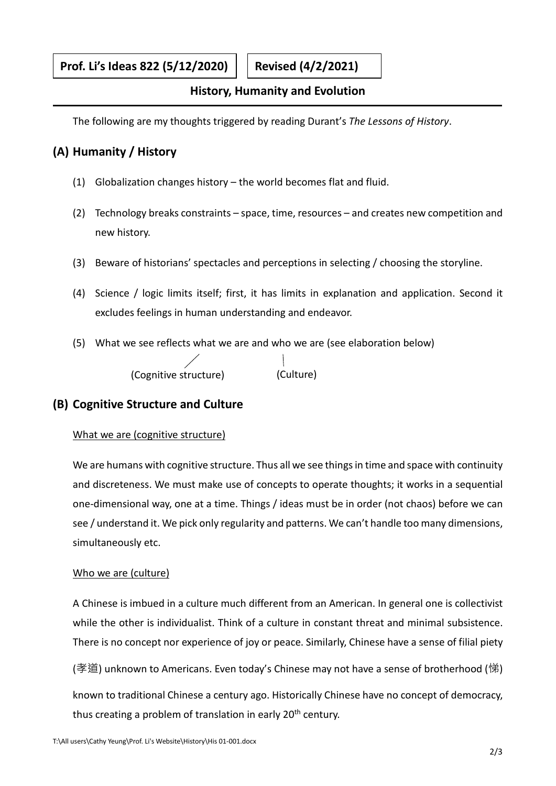### **History, Humanity and Evolution**

The following are my thoughts triggered by reading Durant's *The Lessons of History*.

# **(A) Humanity / History**

- (1) Globalization changes history the world becomes flat and fluid.
- (2) Technology breaks constraints space, time, resources and creates new competition and new history.
- (3) Beware of historians' spectacles and perceptions in selecting / choosing the storyline.
- (4) Science / logic limits itself; first, it has limits in explanation and application. Second it excludes feelings in human understanding and endeavor.
- (5) What we see reflects what we are and who we are (see elaboration below)

(Cognitive structure) (Culture)

# **(B) Cognitive Structure and Culture**

### What we are (cognitive structure)

We are humans with cognitive structure. Thus all we see things in time and space with continuity and discreteness. We must make use of concepts to operate thoughts; it works in a sequential one-dimensional way, one at a time. Things / ideas must be in order (not chaos) before we can see / understand it. We pick only regularity and patterns. We can't handle too many dimensions, simultaneously etc.

### Who we are (culture)

A Chinese is imbued in a culture much different from an American. In general one is collectivist while the other is individualist. Think of a culture in constant threat and minimal subsistence. There is no concept nor experience of joy or peace. Similarly, Chinese have a sense of filial piety

(孝道) unknown to Americans. Even today's Chinese may not have a sense of brotherhood (悌) known to traditional Chinese a century ago. Historically Chinese have no concept of democracy, thus creating a problem of translation in early  $20<sup>th</sup>$  century.